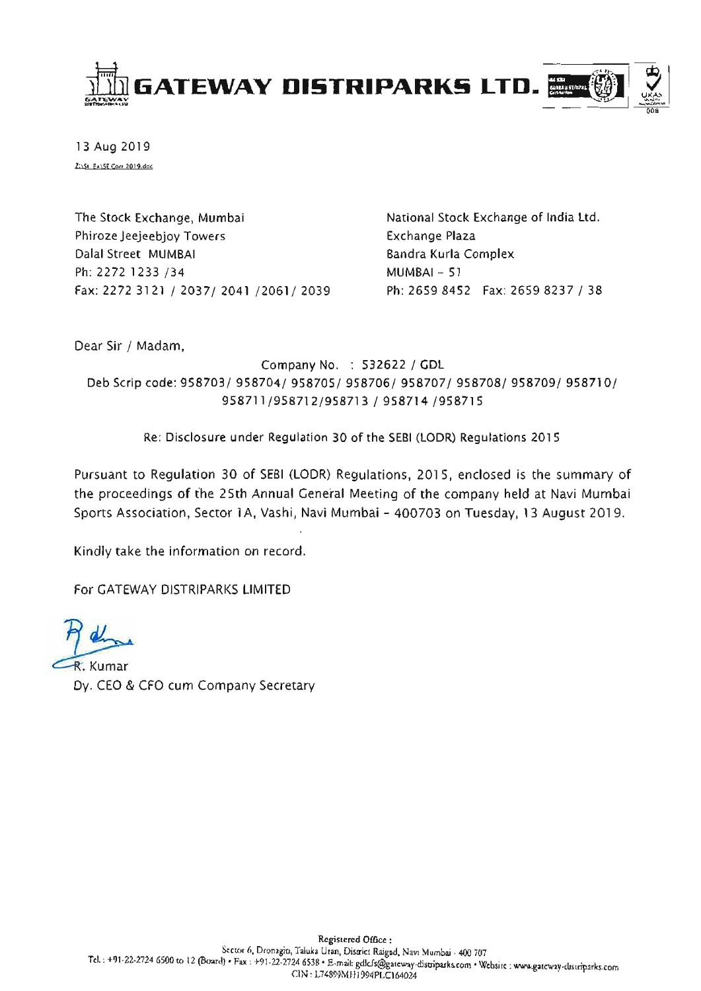

13 Aug 2019 2:151 Ex1SE Corr 2019.doc

The Stock Exchange, Mumbai Phiroze Jeejeebjoy Towers Dalal Street MUMBAI Ph: 2272 1233 /34 Fax: 2272 3121 / 2037/ 2041 /2061/ 2039 National Stock Exchange of India Ltd. Exchange Plaza Bandra Kurla Complex  $MUMBAI - 51$ Ph: 2659 8452 Fax: 2659 8237 / 38

Dear Sir / Madam,

Company No. : 532622 / GDL Deb Scrip code: 958703/ 958704/ 958705/ 958706/ 958707/ 958708/ 958709/ 958710/ 958711/958712/958713 / 958714 /958715

Re: Disclosure under Regulation 30 of the SEBI (LODR) Regulations 2015

Pursuant to Regulation 30 of SEBI (LODR) Regulations, 2015, enclosed is the summary of the proceedings of the 25th Annual General Meeting of the company held at Navi Mumbai Sports Association, Sector 1A, Vashi, Navi Mumbai - 400703 on Tuesday, 13 August 2019.

Kindly take the information on record.

For GATEWAY DISTRIPARKS LIMITED

R. Kumar Dy. CEO & CFO cum Company Secretary